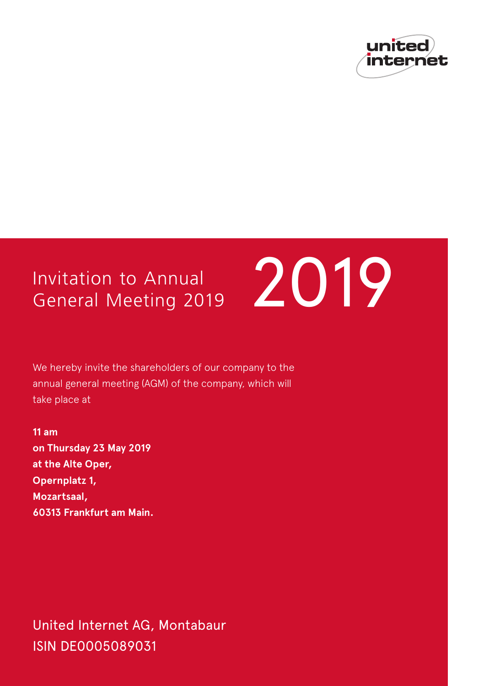

# General Meeting 2019



We hereby invite the shareholders of our company to the annual general meeting (AGM) of the company, which will take place at

**11 am on Thursday 23 May 2019 at the Alte Oper, Opernplatz 1, Mozartsaal, 60313 Frankfurt am Main.** 

United Internet AG, Montabaur ISIN DE0005089031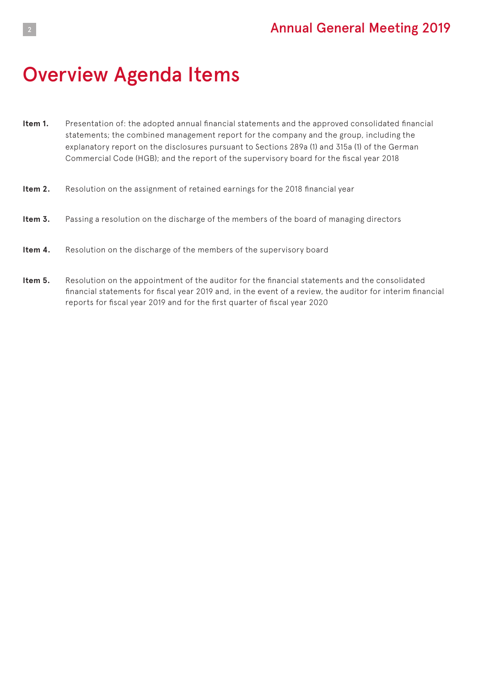# <sup>2</sup> Annual General Meeting 2019

# Overview Agenda Items

- **Item 1.** Presentation of: the adopted annual financial statements and the approved consolidated financial statements; the combined management report for the company and the group, including the explanatory report on the disclosures pursuant to Sections 289a (1) and 315a (1) of the German Commercial Code (HGB); and the report of the supervisory board for the fiscal year 2018
- **Item 2.** Resolution on the assignment of retained earnings for the 2018 financial year
- **Item 3.** Passing a resolution on the discharge of the members of the board of managing directors
- **Item 4.** Resolution on the discharge of the members of the supervisory board
- **Item 5.** Resolution on the appointment of the auditor for the financial statements and the consolidated financial statements for fiscal year 2019 and, in the event of a review, the auditor for interim financial reports for fiscal year 2019 and for the first quarter of fiscal year 2020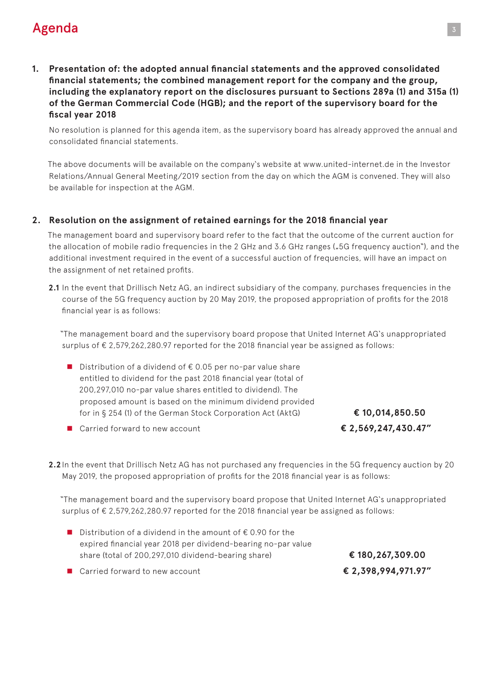# **Agenda** 33 and 34 and 35 and 35 and 35 and 35 and 35 and 35 and 35 and 35 and 35 and 35 and 35 and 35 and 35

**1. Presentation of: the adopted annual financial statements and the approved consolidated financial statements; the combined management report for the company and the group, including the explanatory report on the disclosures pursuant to Sections 289a (1) and 315a (1) of the German Commercial Code (HGB); and the report of the supervisory board for the fiscal year 2018** 

No resolution is planned for this agenda item, as the supervisory board has already approved the annual and consolidated financial statements.

The above documents will be available on the company's website at www.united-internet.de in the Investor Relations/Annual General Meeting/2019 section from the day on which the AGM is convened. They will also be available for inspection at the AGM.

#### **2. Resolution on the assignment of retained earnings for the 2018 financial year**

The management board and supervisory board refer to the fact that the outcome of the current auction for the allocation of mobile radio frequencies in the 2 GHz and 3.6 GHz ranges ("5G frequency auction"), and the additional investment required in the event of a successful auction of frequencies, will have an impact on the assignment of net retained profits.

**2.1** In the event that Drillisch Netz AG, an indirect subsidiary of the company, purchases frequencies in the course of the 5G frequency auction by 20 May 2019, the proposed appropriation of profits for the 2018 financial year is as follows:

"The management board and the supervisory board propose that United Internet AG's unappropriated surplus of € 2,579,262,280.97 reported for the 2018 financial year be assigned as follows:

■ Distribution of a dividend of  $€ 0.05$  per no-par value share entitled to dividend for the past 2018 financial year (total of 200,297,010 no-par value shares entitled to dividend). The proposed amount is based on the minimum dividend provided for in § 254 (1) of the German Stock Corporation Act (AktG) **€ 10,014,850.50"**

■ Carried forward to new account **■ 2,569,247,430.47"** 

**2.2** In the event that Drillisch Netz AG has not purchased any frequencies in the 5G frequency auction by 20 May 2019, the proposed appropriation of profits for the 2018 financial year is as follows:

"The management board and the supervisory board propose that United Internet AG's unappropriated surplus of € 2,579,262,280.97 reported for the 2018 financial year be assigned as follows:

■ Distribution of a dividend in the amount of  $∈$  0.90 for the expired financial year 2018 per dividend-bearing no-par value share (total of 200,297,010 dividend-bearing share) **€ 180,267,309.00"**

n Carried forward to new account **€ 2,398,994,971.97"**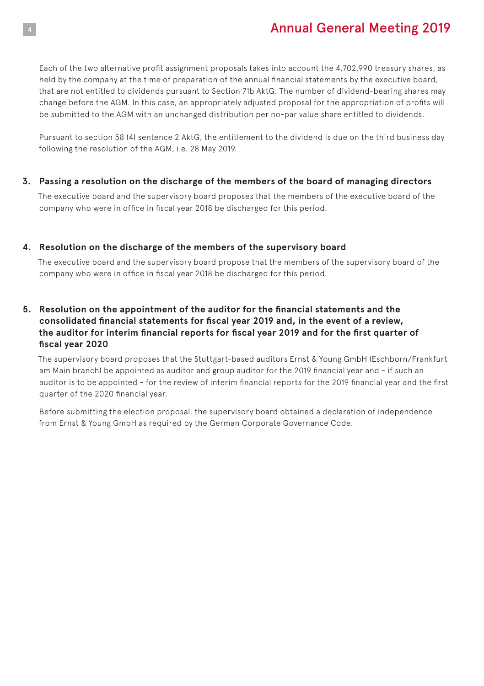# <sup>4</sup> Annual General Meeting 2019

Each of the two alternative profit assignment proposals takes into account the 4,702,990 treasury shares, as held by the company at the time of preparation of the annual financial statements by the executive board, that are not entitled to dividends pursuant to Section 71b AktG. The number of dividend-bearing shares may change before the AGM. In this case, an appropriately adjusted proposal for the appropriation of profits will be submitted to the AGM with an unchanged distribution per no-par value share entitled to dividends.

Pursuant to section 58 (4) sentence 2 AktG, the entitlement to the dividend is due on the third business day following the resolution of the AGM, i.e. 28 May 2019.

#### **3. Passing a resolution on the discharge of the members of the board of managing directors**

The executive board and the supervisory board proposes that the members of the executive board of the company who were in office in fiscal year 2018 be discharged for this period.

#### **4. Resolution on the discharge of the members of the supervisory board**

The executive board and the supervisory board propose that the members of the supervisory board of the company who were in office in fiscal year 2018 be discharged for this period.

#### **5. Resolution on the appointment of the auditor for the financial statements and the consolidated financial statements for fiscal year 2019 and, in the event of a review, the auditor for interim financial reports for fiscal year 2019 and for the first quarter of fiscal year 2020**

The supervisory board proposes that the Stuttgart-based auditors Ernst & Young GmbH (Eschborn/Frankfurt am Main branch) be appointed as auditor and group auditor for the 2019 financial year and - if such an auditor is to be appointed - for the review of interim financial reports for the 2019 financial year and the first quarter of the 2020 financial year.

Before submitting the election proposal, the supervisory board obtained a declaration of independence from Ernst & Young GmbH as required by the German Corporate Governance Code.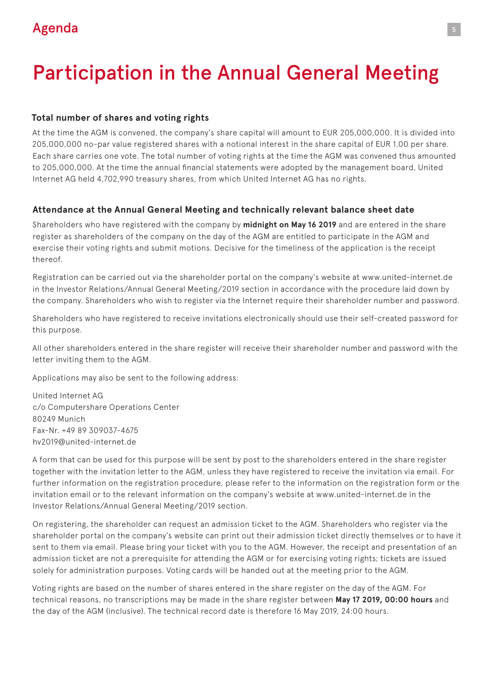# **Agenda** 5 **Agenda** 5 **Contract Contract Contract Contract Contract Contract Contract Contract Contract Contract Contract Contract Contract Contract Contract Contract Contract Contract Contract Contract Contract Contract C**

# Participation in the Annual General Meeting

#### **Total number of shares and voting rights**

At the time the AGM is convened, the company's share capital will amount to EUR 205,000,000. It is divided into 205,000,000 no-par value registered shares with a notional interest in the share capital of EUR 1.00 per share. Each share carries one vote. The total number of voting rights at the time the AGM was convened thus amounted to 205,000,000. At the time the annual financial statements were adopted by the management board, United Internet AG held 4,702,990 treasury shares, from which United Internet AG has no rights.

### **Attendance at the Annual General Meeting and technically relevant balance sheet date**

Shareholders who have registered with the company by **midnight on May 16 2019** and are entered in the share register as shareholders of the company on the day of the AGM are entitled to participate in the AGM and exercise their voting rights and submit motions. Decisive for the timeliness of the application is the receipt thereof.

Registration can be carried out via the shareholder portal on the company's website at www.united-internet.de in the Investor Relations/Annual General Meeting/2019 section in accordance with the procedure laid down by the company. Shareholders who wish to register via the Internet require their shareholder number and password.

Shareholders who have registered to receive invitations electronically should use their self-created password for this purpose.

All other shareholders entered in the share register will receive their shareholder number and password with the letter inviting them to the AGM.

Applications may also be sent to the following address:

United Internet AG c/o Computershare Operations Center 80249 Munich Fax-Nr. +49 89 309037-4675 hv2019@united-internet.de

A form that can be used for this purpose will be sent by post to the shareholders entered in the share register together with the invitation letter to the AGM, unless they have registered to receive the invitation via email. For further information on the registration procedure, please refer to the information on the registration form or the invitation email or to the relevant information on the company's website at www.united-internet.de in the Investor Relations/Annual General Meeting/2019 section.

On registering, the shareholder can request an admission ticket to the AGM. Shareholders who register via the shareholder portal on the company's website can print out their admission ticket directly themselves or to have it sent to them via email. Please bring your ticket with you to the AGM. However, the receipt and presentation of an admission ticket are not a prerequisite for attending the AGM or for exercising voting rights; tickets are issued solely for administration purposes. Voting cards will be handed out at the meeting prior to the AGM.

Voting rights are based on the number of shares entered in the share register on the day of the AGM. For technical reasons, no transcriptions may be made in the share register between **May 17 2019, 00:00 hours** and the day of the AGM (inclusive). The technical record date is therefore 16 May 2019, 24:00 hours.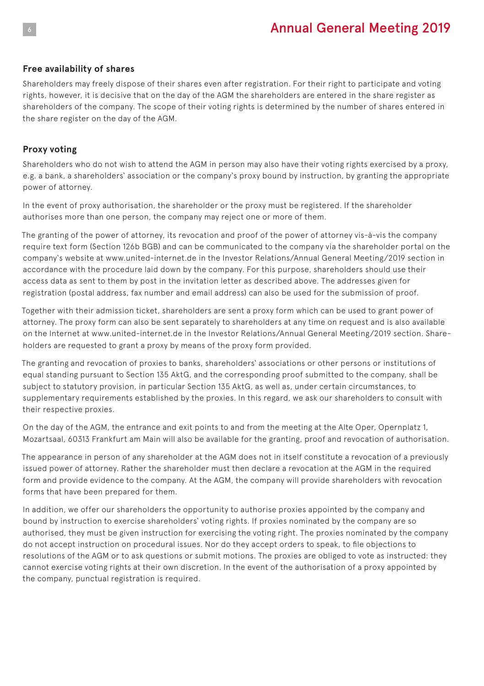# <sup>6</sup> Annual General Meeting 2019

#### **Free availability of shares**

Shareholders may freely dispose of their shares even after registration. For their right to participate and voting rights, however, it is decisive that on the day of the AGM the shareholders are entered in the share register as shareholders of the company. The scope of their voting rights is determined by the number of shares entered in the share register on the day of the AGM.

#### **Proxy voting**

Shareholders who do not wish to attend the AGM in person may also have their voting rights exercised by a proxy, e.g. a bank, a shareholders' association or the company's proxy bound by instruction, by granting the appropriate power of attorney.

In the event of proxy authorisation, the shareholder or the proxy must be registered. If the shareholder authorises more than one person, the company may reject one or more of them.

The granting of the power of attorney, its revocation and proof of the power of attorney vis-à-vis the company require text form (Section 126b BGB) and can be communicated to the company via the shareholder portal on the company's website at www.united-internet.de in the Investor Relations/Annual General Meeting/2019 section in accordance with the procedure laid down by the company. For this purpose, shareholders should use their access data as sent to them by post in the invitation letter as described above. The addresses given for registration (postal address, fax number and email address) can also be used for the submission of proof.

Together with their admission ticket, shareholders are sent a proxy form which can be used to grant power of attorney. The proxy form can also be sent separately to shareholders at any time on request and is also available on the Internet at www.united-internet.de in the Investor Relations/Annual General Meeting/2019 section. Shareholders are requested to grant a proxy by means of the proxy form provided.

The granting and revocation of proxies to banks, shareholders' associations or other persons or institutions of equal standing pursuant to Section 135 AktG, and the corresponding proof submitted to the company, shall be subject to statutory provision, in particular Section 135 AktG, as well as, under certain circumstances, to supplementary requirements established by the proxies. In this regard, we ask our shareholders to consult with their respective proxies.

On the day of the AGM, the entrance and exit points to and from the meeting at the Alte Oper, Opernplatz 1, Mozartsaal, 60313 Frankfurt am Main will also be available for the granting, proof and revocation of authorisation.

The appearance in person of any shareholder at the AGM does not in itself constitute a revocation of a previously issued power of attorney. Rather the shareholder must then declare a revocation at the AGM in the required form and provide evidence to the company. At the AGM, the company will provide shareholders with revocation forms that have been prepared for them.

In addition, we offer our shareholders the opportunity to authorise proxies appointed by the company and bound by instruction to exercise shareholders' voting rights. If proxies nominated by the company are so authorised, they must be given instruction for exercising the voting right. The proxies nominated by the company do not accept instruction on procedural issues. Nor do they accept orders to speak, to file objections to resolutions of the AGM or to ask questions or submit motions. The proxies are obliged to vote as instructed: they cannot exercise voting rights at their own discretion. In the event of the authorisation of a proxy appointed by the company, punctual registration is required.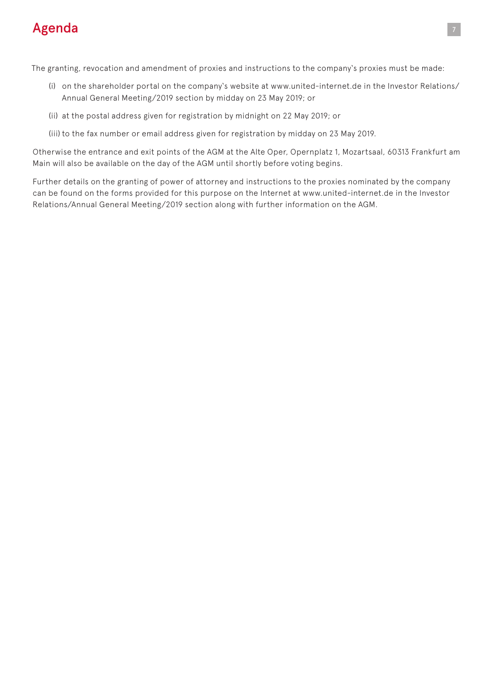# **Agenda** 7 *Agenda* **7** *Agenda* **7** *Agen***da 7** *Agen***da 7** *Agen***da 7** *Agen***da 7** *Agen***da 7** *Agen***da 7** *Agen***da 7** *Agen***da 7** *Agen***da 7** *Agen***da 7** *Agen***da 7** *Agen***da 7** *Agen***da 7** *Agen***da 7** *Agen***da 7** *Agen***da 7** *Agen***da 7 A**

The granting, revocation and amendment of proxies and instructions to the company's proxies must be made:

- (i) on the shareholder portal on the company's website at www.united-internet.de in the Investor Relations/ Annual General Meeting/2019 section by midday on 23 May 2019; or
- (ii) at the postal address given for registration by midnight on 22 May 2019; or
- (iii) to the fax number or email address given for registration by midday on 23 May 2019.

Otherwise the entrance and exit points of the AGM at the Alte Oper, Opernplatz 1, Mozartsaal, 60313 Frankfurt am Main will also be available on the day of the AGM until shortly before voting begins.

Further details on the granting of power of attorney and instructions to the proxies nominated by the company can be found on the forms provided for this purpose on the Internet at www.united-internet.de in the Investor Relations/Annual General Meeting/2019 section along with further information on the AGM.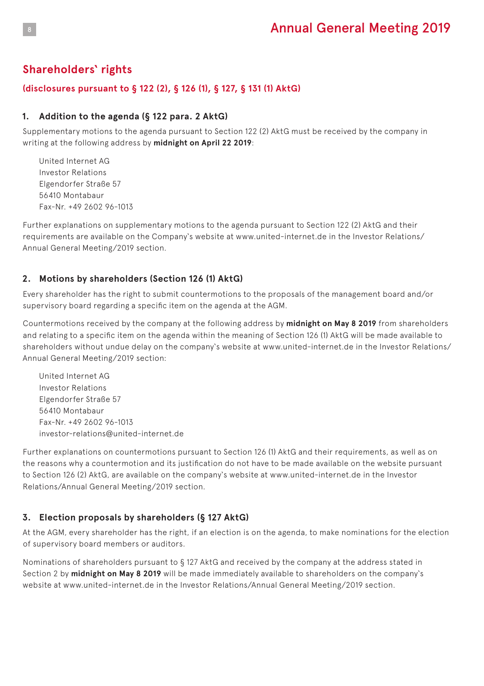## **Shareholders' rights**

#### **(disclosures pursuant to § 122 (2), § 126 (1), § 127, § 131 (1) AktG)**

#### **1. Addition to the agenda (§ 122 para. 2 AktG)**

Supplementary motions to the agenda pursuant to Section 122 (2) AktG must be received by the company in writing at the following address by **midnight on April 22 2019**:

United Internet AG Investor Relations Elgendorfer Straße 57 56410 Montabaur Fax-Nr. +49 2602 96-1013

Further explanations on supplementary motions to the agenda pursuant to Section 122 (2) AktG and their requirements are available on the Company's website at www.united-internet.de in the Investor Relations/ Annual General Meeting/2019 section.

#### **2. Motions by shareholders (Section 126 (1) AktG)**

Every shareholder has the right to submit countermotions to the proposals of the management board and/or supervisory board regarding a specific item on the agenda at the AGM.

Countermotions received by the company at the following address by **midnight on May 8 2019** from shareholders and relating to a specific item on the agenda within the meaning of Section 126 (1) AktG will be made available to shareholders without undue delay on the company's website at www.united-internet.de in the Investor Relations/ Annual General Meeting/2019 section:

United Internet AG Investor Relations Elgendorfer Straße 57 56410 Montabaur Fax-Nr. +49 2602 96-1013 investor-relations@united-internet.de

Further explanations on countermotions pursuant to Section 126 (1) AktG and their requirements, as well as on the reasons why a countermotion and its justification do not have to be made available on the website pursuant to Section 126 (2) AktG, are available on the company's website at www.united-internet.de in the Investor Relations/Annual General Meeting/2019 section.

#### **3. Election proposals by shareholders (§ 127 AktG)**

At the AGM, every shareholder has the right, if an election is on the agenda, to make nominations for the election of supervisory board members or auditors.

Nominations of shareholders pursuant to § 127 AktG and received by the company at the address stated in Section 2 by **midnight on May 8 2019** will be made immediately available to shareholders on the company's website at www.united-internet.de in the Investor Relations/Annual General Meeting/2019 section.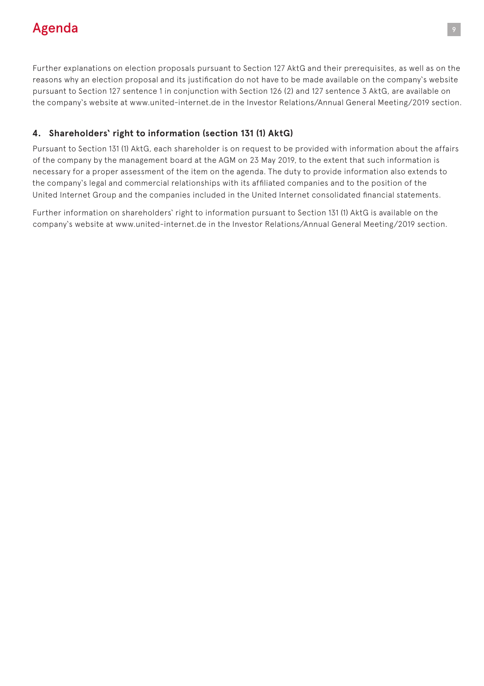# Agenda <sup>9</sup>

Further explanations on election proposals pursuant to Section 127 AktG and their prerequisites, as well as on the reasons why an election proposal and its justification do not have to be made available on the company's website pursuant to Section 127 sentence 1 in conjunction with Section 126 (2) and 127 sentence 3 AktG, are available on the company's website at www.united-internet.de in the Investor Relations/Annual General Meeting/2019 section.

#### **4. Shareholders' right to information (section 131 (1) AktG)**

Pursuant to Section 131 (1) AktG, each shareholder is on request to be provided with information about the affairs of the company by the management board at the AGM on 23 May 2019, to the extent that such information is necessary for a proper assessment of the item on the agenda. The duty to provide information also extends to the company's legal and commercial relationships with its affiliated companies and to the position of the United Internet Group and the companies included in the United Internet consolidated financial statements.

Further information on shareholders' right to information pursuant to Section 131 (1) AktG is available on the company's website at www.united-internet.de in the Investor Relations/Annual General Meeting/2019 section.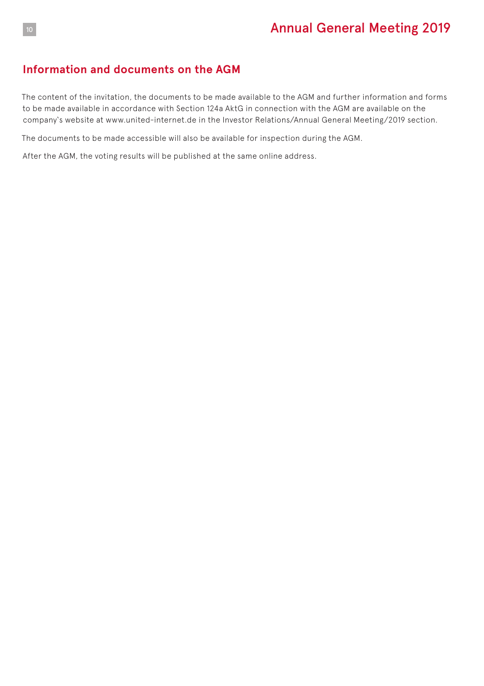#### **Information and documents on the AGM**

The content of the invitation, the documents to be made available to the AGM and further information and forms to be made available in accordance with Section 124a AktG in connection with the AGM are available on the company's website at www.united-internet.de in the Investor Relations/Annual General Meeting/2019 section.

The documents to be made accessible will also be available for inspection during the AGM.

After the AGM, the voting results will be published at the same online address.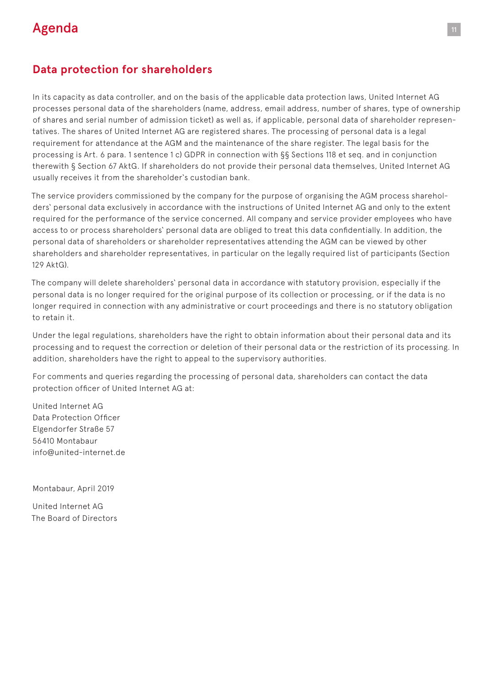# Agenda 111 and 2012 and 2013 and 2014 and 2014 and 2014 and 2014 and 2014 and 2014 and 2014 and 2014

#### **Data protection for shareholders**

In its capacity as data controller, and on the basis of the applicable data protection laws, United Internet AG processes personal data of the shareholders (name, address, email address, number of shares, type of ownership of shares and serial number of admission ticket) as well as, if applicable, personal data of shareholder representatives. The shares of United Internet AG are registered shares. The processing of personal data is a legal requirement for attendance at the AGM and the maintenance of the share register. The legal basis for the processing is Art. 6 para. 1 sentence 1 c) GDPR in connection with §§ Sections 118 et seq. and in conjunction therewith § Section 67 AktG. If shareholders do not provide their personal data themselves, United Internet AG usually receives it from the shareholder's custodian bank.

The service providers commissioned by the company for the purpose of organising the AGM process shareholders' personal data exclusively in accordance with the instructions of United Internet AG and only to the extent required for the performance of the service concerned. All company and service provider employees who have access to or process shareholders' personal data are obliged to treat this data confidentially. In addition, the personal data of shareholders or shareholder representatives attending the AGM can be viewed by other shareholders and shareholder representatives, in particular on the legally required list of participants (Section 129 AktG).

The company will delete shareholders' personal data in accordance with statutory provision, especially if the personal data is no longer required for the original purpose of its collection or processing, or if the data is no longer required in connection with any administrative or court proceedings and there is no statutory obligation to retain it.

Under the legal regulations, shareholders have the right to obtain information about their personal data and its processing and to request the correction or deletion of their personal data or the restriction of its processing. In addition, shareholders have the right to appeal to the supervisory authorities.

For comments and queries regarding the processing of personal data, shareholders can contact the data protection officer of United Internet AG at:

United Internet AG Data Protection Officer Elgendorfer Straße 57 56410 Montabaur info@united-internet.de

Montabaur, April 2019

United Internet AG The Board of Directors